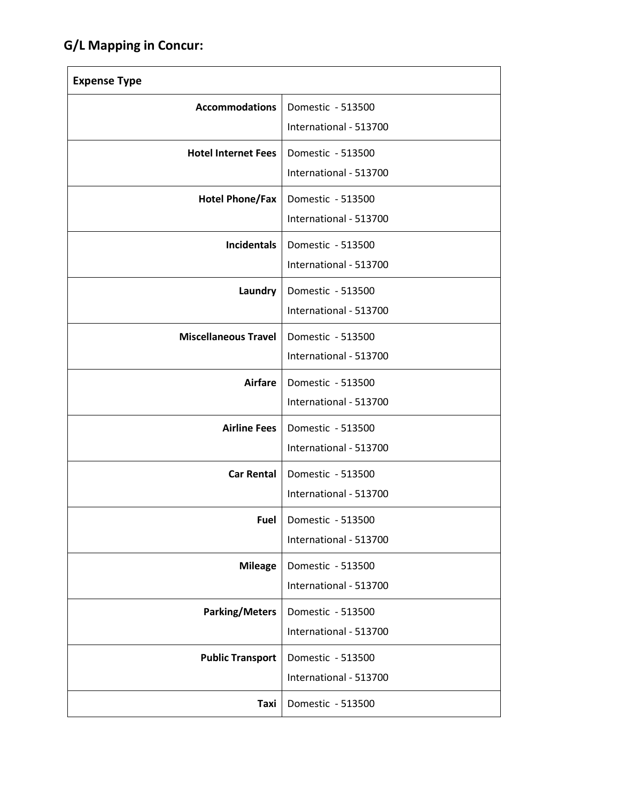## **G/L Mapping in Concur:**

| <b>Expense Type</b>         |                                                    |
|-----------------------------|----------------------------------------------------|
| <b>Accommodations</b>       | Domestic - 513500<br>International - 513700        |
| <b>Hotel Internet Fees</b>  | Domestic - 513500<br>International - 513700        |
| <b>Hotel Phone/Fax</b>      | Domestic - 513500<br>International - 513700        |
| <b>Incidentals</b>          | Domestic - 513500<br>International - 513700        |
| Laundry                     | Domestic - 513500<br>International - 513700        |
| <b>Miscellaneous Travel</b> | Domestic - 513500<br>International - 513700        |
| <b>Airfare</b>              | Domestic - 513500<br>International - 513700        |
| <b>Airline Fees</b>         | Domestic - 513500<br>International - 513700        |
| <b>Car Rental</b>           | Domestic - 513500<br>International - 513700        |
|                             | Fuel   Domestic - 513500<br>International - 513700 |
| <b>Mileage</b>              | Domestic - 513500<br>International - 513700        |
| <b>Parking/Meters</b>       | Domestic - 513500<br>International - 513700        |
| <b>Public Transport</b>     | Domestic - 513500<br>International - 513700        |
| Taxi                        | Domestic - 513500                                  |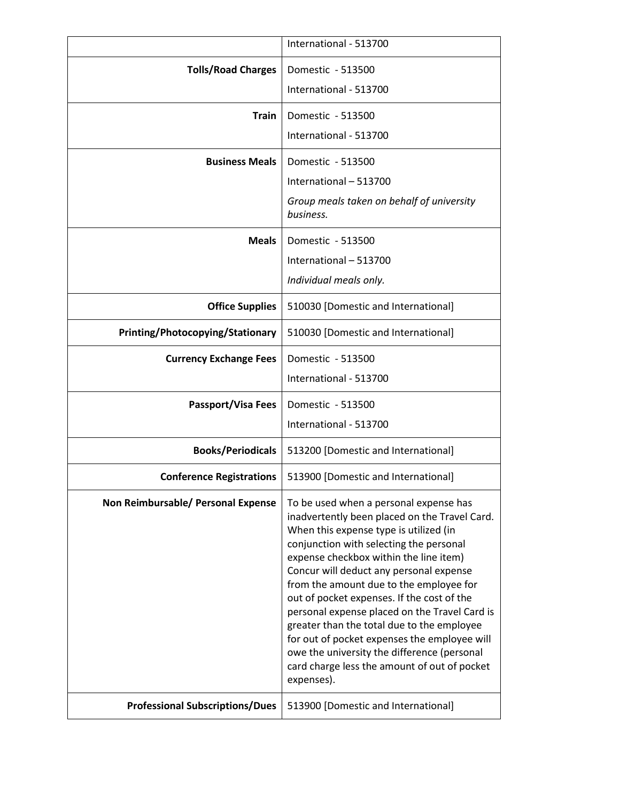|                                        | International - 513700                                                                                                                                                                                                                                                                                                                                                                                                                                                                                                                                                                                                 |
|----------------------------------------|------------------------------------------------------------------------------------------------------------------------------------------------------------------------------------------------------------------------------------------------------------------------------------------------------------------------------------------------------------------------------------------------------------------------------------------------------------------------------------------------------------------------------------------------------------------------------------------------------------------------|
| <b>Tolls/Road Charges</b>              | Domestic - 513500                                                                                                                                                                                                                                                                                                                                                                                                                                                                                                                                                                                                      |
|                                        | International - 513700                                                                                                                                                                                                                                                                                                                                                                                                                                                                                                                                                                                                 |
| Train                                  | Domestic - 513500                                                                                                                                                                                                                                                                                                                                                                                                                                                                                                                                                                                                      |
|                                        | International - 513700                                                                                                                                                                                                                                                                                                                                                                                                                                                                                                                                                                                                 |
| <b>Business Meals</b>                  | Domestic - 513500                                                                                                                                                                                                                                                                                                                                                                                                                                                                                                                                                                                                      |
|                                        | International - 513700                                                                                                                                                                                                                                                                                                                                                                                                                                                                                                                                                                                                 |
|                                        | Group meals taken on behalf of university<br>business.                                                                                                                                                                                                                                                                                                                                                                                                                                                                                                                                                                 |
| <b>Meals</b>                           | Domestic - 513500                                                                                                                                                                                                                                                                                                                                                                                                                                                                                                                                                                                                      |
|                                        | International - 513700                                                                                                                                                                                                                                                                                                                                                                                                                                                                                                                                                                                                 |
|                                        | Individual meals only.                                                                                                                                                                                                                                                                                                                                                                                                                                                                                                                                                                                                 |
| <b>Office Supplies</b>                 | 510030 [Domestic and International]                                                                                                                                                                                                                                                                                                                                                                                                                                                                                                                                                                                    |
| Printing/Photocopying/Stationary       | 510030 [Domestic and International]                                                                                                                                                                                                                                                                                                                                                                                                                                                                                                                                                                                    |
| <b>Currency Exchange Fees</b>          | Domestic - 513500                                                                                                                                                                                                                                                                                                                                                                                                                                                                                                                                                                                                      |
|                                        | International - 513700                                                                                                                                                                                                                                                                                                                                                                                                                                                                                                                                                                                                 |
| <b>Passport/Visa Fees</b>              | Domestic - 513500                                                                                                                                                                                                                                                                                                                                                                                                                                                                                                                                                                                                      |
|                                        | International - 513700                                                                                                                                                                                                                                                                                                                                                                                                                                                                                                                                                                                                 |
| <b>Books/Periodicals</b>               | 513200 [Domestic and International]                                                                                                                                                                                                                                                                                                                                                                                                                                                                                                                                                                                    |
| <b>Conference Registrations</b>        | 513900 [Domestic and International]                                                                                                                                                                                                                                                                                                                                                                                                                                                                                                                                                                                    |
| Non Reimbursable/ Personal Expense     | To be used when a personal expense has<br>inadvertently been placed on the Travel Card.<br>When this expense type is utilized (in<br>conjunction with selecting the personal<br>expense checkbox within the line item)<br>Concur will deduct any personal expense<br>from the amount due to the employee for<br>out of pocket expenses. If the cost of the<br>personal expense placed on the Travel Card is<br>greater than the total due to the employee<br>for out of pocket expenses the employee will<br>owe the university the difference (personal<br>card charge less the amount of out of pocket<br>expenses). |
| <b>Professional Subscriptions/Dues</b> | 513900 [Domestic and International]                                                                                                                                                                                                                                                                                                                                                                                                                                                                                                                                                                                    |